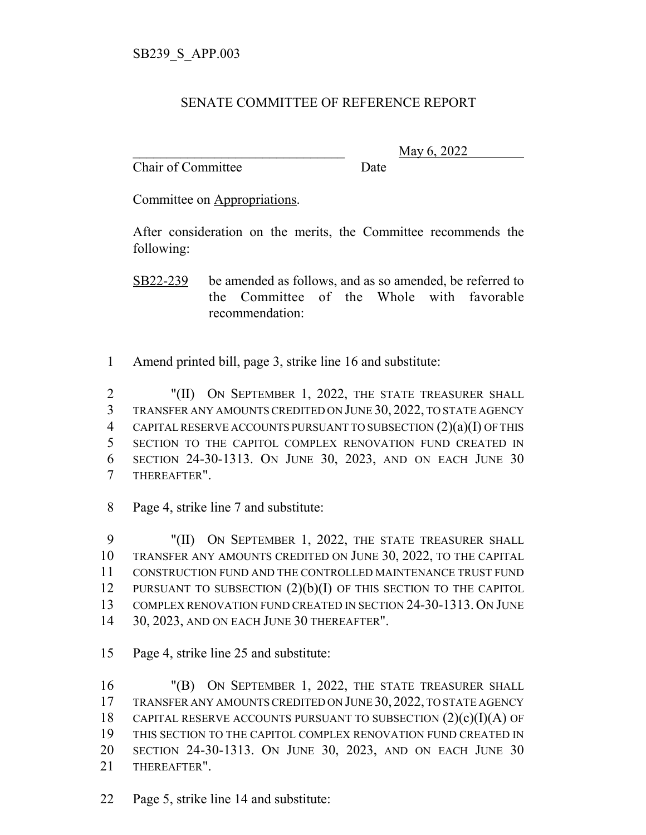## SENATE COMMITTEE OF REFERENCE REPORT

Chair of Committee Date

\_\_\_\_\_\_\_\_\_\_\_\_\_\_\_\_\_\_\_\_\_\_\_\_\_\_\_\_\_\_\_ May 6, 2022

Committee on Appropriations.

After consideration on the merits, the Committee recommends the following:

SB22-239 be amended as follows, and as so amended, be referred to the Committee of the Whole with favorable recommendation:

1 Amend printed bill, page 3, strike line 16 and substitute:

2 "(II) ON SEPTEMBER 1, 2022, THE STATE TREASURER SHALL TRANSFER ANY AMOUNTS CREDITED ON JUNE 30, 2022, TO STATE AGENCY CAPITAL RESERVE ACCOUNTS PURSUANT TO SUBSECTION (2)(a)(I) OF THIS SECTION TO THE CAPITOL COMPLEX RENOVATION FUND CREATED IN SECTION 24-30-1313. ON JUNE 30, 2023, AND ON EACH JUNE 30 THEREAFTER".

8 Page 4, strike line 7 and substitute:

 "(II) ON SEPTEMBER 1, 2022, THE STATE TREASURER SHALL TRANSFER ANY AMOUNTS CREDITED ON JUNE 30, 2022, TO THE CAPITAL CONSTRUCTION FUND AND THE CONTROLLED MAINTENANCE TRUST FUND 12 PURSUANT TO SUBSECTION  $(2)(b)(I)$  OF THIS SECTION TO THE CAPITOL COMPLEX RENOVATION FUND CREATED IN SECTION 24-30-1313. ON JUNE 30, 2023, AND ON EACH JUNE 30 THEREAFTER".

15 Page 4, strike line 25 and substitute:

 "(B) ON SEPTEMBER 1, 2022, THE STATE TREASURER SHALL TRANSFER ANY AMOUNTS CREDITED ON JUNE 30, 2022, TO STATE AGENCY 18 CAPITAL RESERVE ACCOUNTS PURSUANT TO SUBSECTION  $(2)(c)(I)(A)$  OF THIS SECTION TO THE CAPITOL COMPLEX RENOVATION FUND CREATED IN SECTION 24-30-1313. ON JUNE 30, 2023, AND ON EACH JUNE 30 THEREAFTER".

22 Page 5, strike line 14 and substitute: